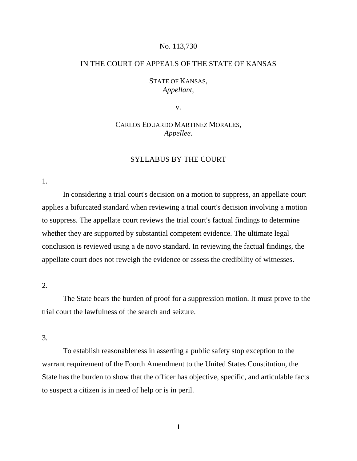### No. 113,730

### IN THE COURT OF APPEALS OF THE STATE OF KANSAS

# STATE OF KANSAS, *Appellant*,

v.

# CARLOS EDUARDO MARTINEZ MORALES, *Appellee*.

# SYLLABUS BY THE COURT

1.

In considering a trial court's decision on a motion to suppress, an appellate court applies a bifurcated standard when reviewing a trial court's decision involving a motion to suppress. The appellate court reviews the trial court's factual findings to determine whether they are supported by substantial competent evidence. The ultimate legal conclusion is reviewed using a de novo standard. In reviewing the factual findings, the appellate court does not reweigh the evidence or assess the credibility of witnesses.

2.

The State bears the burden of proof for a suppression motion. It must prove to the trial court the lawfulness of the search and seizure.

3.

To establish reasonableness in asserting a public safety stop exception to the warrant requirement of the Fourth Amendment to the United States Constitution, the State has the burden to show that the officer has objective, specific, and articulable facts to suspect a citizen is in need of help or is in peril.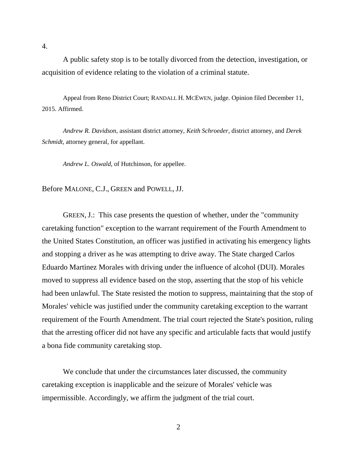A public safety stop is to be totally divorced from the detection, investigation, or acquisition of evidence relating to the violation of a criminal statute.

Appeal from Reno District Court; RANDALL H. MCEWEN, judge. Opinion filed December 11, 2015. Affirmed.

*Andrew R. Davidson*, assistant district attorney, *Keith Schroeder*, district attorney, and *Derek Schmidt*, attorney general, for appellant.

*Andrew L. Oswald*, of Hutchinson, for appellee.

Before MALONE, C.J., GREEN and POWELL, JJ.

GREEN, J.: This case presents the question of whether, under the "community caretaking function" exception to the warrant requirement of the Fourth Amendment to the United States Constitution, an officer was justified in activating his emergency lights and stopping a driver as he was attempting to drive away. The State charged Carlos Eduardo Martinez Morales with driving under the influence of alcohol (DUI). Morales moved to suppress all evidence based on the stop, asserting that the stop of his vehicle had been unlawful. The State resisted the motion to suppress, maintaining that the stop of Morales' vehicle was justified under the community caretaking exception to the warrant requirement of the Fourth Amendment. The trial court rejected the State's position, ruling that the arresting officer did not have any specific and articulable facts that would justify a bona fide community caretaking stop.

We conclude that under the circumstances later discussed, the community caretaking exception is inapplicable and the seizure of Morales' vehicle was impermissible. Accordingly, we affirm the judgment of the trial court.

4.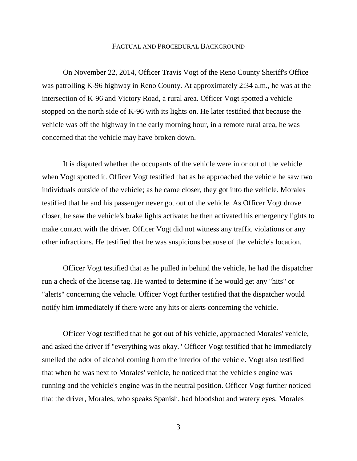#### FACTUAL AND PROCEDURAL BACKGROUND

On November 22, 2014, Officer Travis Vogt of the Reno County Sheriff's Office was patrolling K-96 highway in Reno County. At approximately 2:34 a.m., he was at the intersection of K-96 and Victory Road, a rural area. Officer Vogt spotted a vehicle stopped on the north side of K-96 with its lights on. He later testified that because the vehicle was off the highway in the early morning hour, in a remote rural area, he was concerned that the vehicle may have broken down.

It is disputed whether the occupants of the vehicle were in or out of the vehicle when Vogt spotted it. Officer Vogt testified that as he approached the vehicle he saw two individuals outside of the vehicle; as he came closer, they got into the vehicle. Morales testified that he and his passenger never got out of the vehicle. As Officer Vogt drove closer, he saw the vehicle's brake lights activate; he then activated his emergency lights to make contact with the driver. Officer Vogt did not witness any traffic violations or any other infractions. He testified that he was suspicious because of the vehicle's location.

Officer Vogt testified that as he pulled in behind the vehicle, he had the dispatcher run a check of the license tag. He wanted to determine if he would get any "hits" or "alerts" concerning the vehicle. Officer Vogt further testified that the dispatcher would notify him immediately if there were any hits or alerts concerning the vehicle.

Officer Vogt testified that he got out of his vehicle, approached Morales' vehicle, and asked the driver if "everything was okay." Officer Vogt testified that he immediately smelled the odor of alcohol coming from the interior of the vehicle. Vogt also testified that when he was next to Morales' vehicle, he noticed that the vehicle's engine was running and the vehicle's engine was in the neutral position. Officer Vogt further noticed that the driver, Morales, who speaks Spanish, had bloodshot and watery eyes. Morales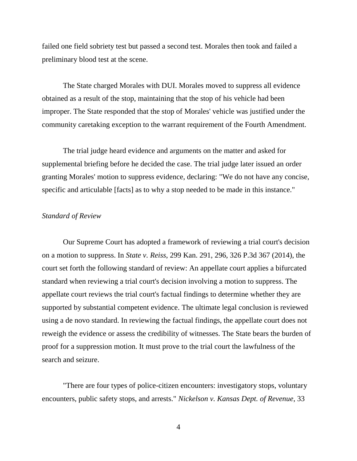failed one field sobriety test but passed a second test. Morales then took and failed a preliminary blood test at the scene.

The State charged Morales with DUI. Morales moved to suppress all evidence obtained as a result of the stop, maintaining that the stop of his vehicle had been improper. The State responded that the stop of Morales' vehicle was justified under the community caretaking exception to the warrant requirement of the Fourth Amendment.

The trial judge heard evidence and arguments on the matter and asked for supplemental briefing before he decided the case. The trial judge later issued an order granting Morales' motion to suppress evidence, declaring: "We do not have any concise, specific and articulable [facts] as to why a stop needed to be made in this instance."

## *Standard of Review*

Our Supreme Court has adopted a framework of reviewing a trial court's decision on a motion to suppress. In *State v. Reiss*, 299 Kan. 291, 296, 326 P.3d 367 (2014), the court set forth the following standard of review: An appellate court applies a bifurcated standard when reviewing a trial court's decision involving a motion to suppress. The appellate court reviews the trial court's factual findings to determine whether they are supported by substantial competent evidence. The ultimate legal conclusion is reviewed using a de novo standard. In reviewing the factual findings, the appellate court does not reweigh the evidence or assess the credibility of witnesses. The State bears the burden of proof for a suppression motion. It must prove to the trial court the lawfulness of the search and seizure.

"There are four types of police-citizen encounters: investigatory stops, voluntary encounters, public safety stops, and arrests." *Nickelson v. Kansas Dept. of Revenue*, 33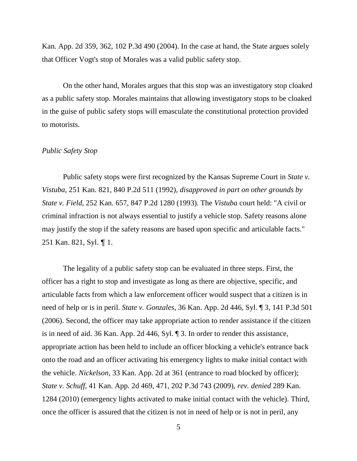Kan. App. 2d 359, 362, 102 P.3d 490 (2004). In the case at hand, the State argues solely that Officer Vogt's stop of Morales was a valid public safety stop.

On the other hand, Morales argues that this stop was an investigatory stop cloaked as a public safety stop. Morales maintains that allowing investigatory stops to be cloaked in the guise of public safety stops will emasculate the constitutional protection provided to motorists.

### *Public Safety Stop*

Public safety stops were first recognized by the Kansas Supreme Court in *State v. Vistuba*, 251 Kan. 821, 840 P.2d 511 (1992), *disapproved in part on other grounds by State v. Field*, 252 Kan. 657, 847 P.2d 1280 (1993). The *Vistuba* court held: "A civil or criminal infraction is not always essential to justify a vehicle stop. Safety reasons alone may justify the stop if the safety reasons are based upon specific and articulable facts." 251 Kan. 821, Syl. ¶ 1.

The legality of a public safety stop can be evaluated in three steps. First, the officer has a right to stop and investigate as long as there are objective, specific, and articulable facts from which a law enforcement officer would suspect that a citizen is in need of help or is in peril. *State v. Gonzales*, 36 Kan. App. 2d 446, Syl. ¶ 3, 141 P.3d 501 (2006). Second, the officer may take appropriate action to render assistance if the citizen is in need of aid. 36 Kan. App. 2d 446, Syl. ¶ 3. In order to render this assistance, appropriate action has been held to include an officer blocking a vehicle's entrance back onto the road and an officer activating his emergency lights to make initial contact with the vehicle. *Nickelson*, 33 Kan. App. 2d at 361 (entrance to road blocked by officer); *State v. Schuff*, 41 Kan. App. 2d 469, 471, 202 P.3d 743 (2009), *rev. denied* 289 Kan. 1284 (2010) (emergency lights activated to make initial contact with the vehicle). Third, once the officer is assured that the citizen is not in need of help or is not in peril, any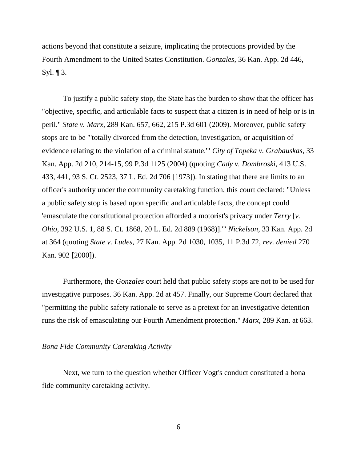actions beyond that constitute a seizure, implicating the protections provided by the Fourth Amendment to the United States Constitution. *Gonzales*, 36 Kan. App. 2d 446, Syl.  $\P$  3.

To justify a public safety stop, the State has the burden to show that the officer has "objective, specific, and articulable facts to suspect that a citizen is in need of help or is in peril." *State v. Marx*, 289 Kan. 657, 662, 215 P.3d 601 (2009). Moreover, public safety stops are to be "'totally divorced from the detection, investigation, or acquisition of evidence relating to the violation of a criminal statute.'" *City of Topeka v. Grabauskas*, 33 Kan. App. 2d 210, 214-15, 99 P.3d 1125 (2004) (quoting *Cady v. Dombroski*, 413 U.S. 433, 441, 93 S. Ct. 2523, 37 L. Ed. 2d 706 [1973]). In stating that there are limits to an officer's authority under the community caretaking function, this court declared: "Unless a public safety stop is based upon specific and articulable facts, the concept could 'emasculate the constitutional protection afforded a motorist's privacy under *Terry* [*v. Ohio*, 392 U.S. 1, 88 S. Ct. 1868, 20 L. Ed. 2d 889 (1968)].'" *Nickelson*, 33 Kan. App. 2d at 364 (quoting *State v. Ludes*, 27 Kan. App. 2d 1030, 1035, 11 P.3d 72, *rev. denied* 270 Kan. 902 [2000]).

Furthermore, the *Gonzales* court held that public safety stops are not to be used for investigative purposes. 36 Kan. App. 2d at 457. Finally, our Supreme Court declared that "permitting the public safety rationale to serve as a pretext for an investigative detention runs the risk of emasculating our Fourth Amendment protection." *Marx*, 289 Kan. at 663.

### *Bona Fide Community Caretaking Activity*

Next, we turn to the question whether Officer Vogt's conduct constituted a bona fide community caretaking activity.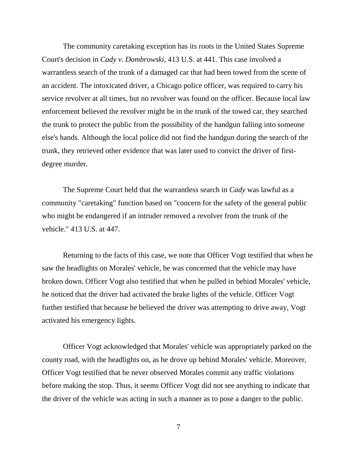The community caretaking exception has its roots in the United States Supreme Court's decision in *Cady v. Dombrowski*, 413 U.S. at 441. This case involved a warrantless search of the trunk of a damaged car that had been towed from the scene of an accident. The intoxicated driver, a Chicago police officer, was required to carry his service revolver at all times, but no revolver was found on the officer. Because local law enforcement believed the revolver might be in the trunk of the towed car, they searched the trunk to protect the public from the possibility of the handgun falling into someone else's hands. Although the local police did not find the handgun during the search of the trunk, they retrieved other evidence that was later used to convict the driver of firstdegree murder.

The Supreme Court held that the warrantless search in *Cady* was lawful as a community "caretaking" function based on "concern for the safety of the general public who might be endangered if an intruder removed a revolver from the trunk of the vehicle." 413 U.S. at 447.

Returning to the facts of this case, we note that Officer Vogt testified that when he saw the headlights on Morales' vehicle, he was concerned that the vehicle may have broken down. Officer Vogt also testified that when he pulled in behind Morales' vehicle, he noticed that the driver had activated the brake lights of the vehicle. Officer Vogt further testified that because he believed the driver was attempting to drive away, Vogt activated his emergency lights.

Officer Vogt acknowledged that Morales' vehicle was appropriately parked on the county road, with the headlights on, as he drove up behind Morales' vehicle. Moreover, Officer Vogt testified that he never observed Morales commit any traffic violations before making the stop. Thus, it seems Officer Vogt did not see anything to indicate that the driver of the vehicle was acting in such a manner as to pose a danger to the public.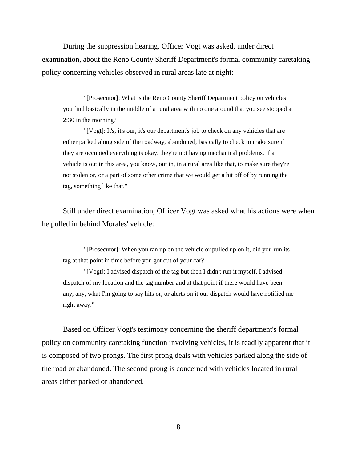During the suppression hearing, Officer Vogt was asked, under direct examination, about the Reno County Sheriff Department's formal community caretaking policy concerning vehicles observed in rural areas late at night:

"[Prosecutor]: What is the Reno County Sheriff Department policy on vehicles you find basically in the middle of a rural area with no one around that you see stopped at 2:30 in the morning?

"[Vogt]: It's, it's our, it's our department's job to check on any vehicles that are either parked along side of the roadway, abandoned, basically to check to make sure if they are occupied everything is okay, they're not having mechanical problems. If a vehicle is out in this area, you know, out in, in a rural area like that, to make sure they're not stolen or, or a part of some other crime that we would get a hit off of by running the tag, something like that."

Still under direct examination, Officer Vogt was asked what his actions were when he pulled in behind Morales' vehicle:

"[Prosecutor]: When you ran up on the vehicle or pulled up on it, did you run its tag at that point in time before you got out of your car?

"[Vogt]: I advised dispatch of the tag but then I didn't run it myself. I advised dispatch of my location and the tag number and at that point if there would have been any, any, what I'm going to say hits or, or alerts on it our dispatch would have notified me right away."

Based on Officer Vogt's testimony concerning the sheriff department's formal policy on community caretaking function involving vehicles, it is readily apparent that it is composed of two prongs. The first prong deals with vehicles parked along the side of the road or abandoned. The second prong is concerned with vehicles located in rural areas either parked or abandoned.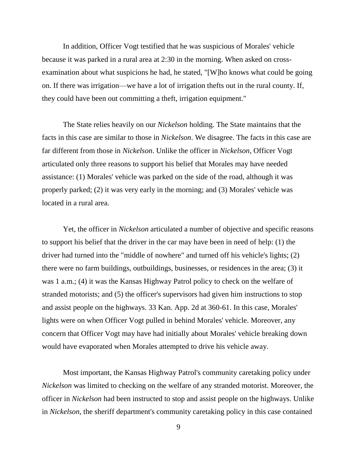In addition, Officer Vogt testified that he was suspicious of Morales' vehicle because it was parked in a rural area at 2:30 in the morning. When asked on crossexamination about what suspicions he had, he stated, "[W]ho knows what could be going on. If there was irrigation—we have a lot of irrigation thefts out in the rural county. If, they could have been out committing a theft, irrigation equipment."

The State relies heavily on our *Nickelson* holding. The State maintains that the facts in this case are similar to those in *Nickelson*. We disagree. The facts in this case are far different from those in *Nickelson*. Unlike the officer in *Nickelson*, Officer Vogt articulated only three reasons to support his belief that Morales may have needed assistance: (1) Morales' vehicle was parked on the side of the road, although it was properly parked; (2) it was very early in the morning; and (3) Morales' vehicle was located in a rural area.

Yet, the officer in *Nickelson* articulated a number of objective and specific reasons to support his belief that the driver in the car may have been in need of help: (1) the driver had turned into the "middle of nowhere" and turned off his vehicle's lights; (2) there were no farm buildings, outbuildings, businesses, or residences in the area; (3) it was 1 a.m.; (4) it was the Kansas Highway Patrol policy to check on the welfare of stranded motorists; and (5) the officer's supervisors had given him instructions to stop and assist people on the highways. 33 Kan. App. 2d at 360-61. In this case, Morales' lights were on when Officer Vogt pulled in behind Morales' vehicle. Moreover, any concern that Officer Vogt may have had initially about Morales' vehicle breaking down would have evaporated when Morales attempted to drive his vehicle away.

Most important, the Kansas Highway Patrol's community caretaking policy under *Nickelson* was limited to checking on the welfare of any stranded motorist. Moreover, the officer in *Nickelson* had been instructed to stop and assist people on the highways. Unlike in *Nickelson*, the sheriff department's community caretaking policy in this case contained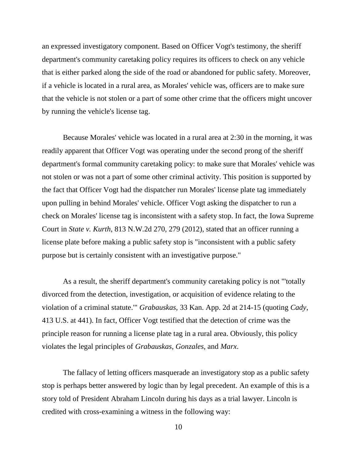an expressed investigatory component. Based on Officer Vogt's testimony, the sheriff department's community caretaking policy requires its officers to check on any vehicle that is either parked along the side of the road or abandoned for public safety. Moreover, if a vehicle is located in a rural area, as Morales' vehicle was, officers are to make sure that the vehicle is not stolen or a part of some other crime that the officers might uncover by running the vehicle's license tag.

Because Morales' vehicle was located in a rural area at 2:30 in the morning, it was readily apparent that Officer Vogt was operating under the second prong of the sheriff department's formal community caretaking policy: to make sure that Morales' vehicle was not stolen or was not a part of some other criminal activity. This position is supported by the fact that Officer Vogt had the dispatcher run Morales' license plate tag immediately upon pulling in behind Morales' vehicle. Officer Vogt asking the dispatcher to run a check on Morales' license tag is inconsistent with a safety stop. In fact, the Iowa Supreme Court in *State v. Kurth*, 813 N.W.2d 270, 279 (2012), stated that an officer running a license plate before making a public safety stop is "inconsistent with a public safety purpose but is certainly consistent with an investigative purpose."

As a result, the sheriff department's community caretaking policy is not "'totally divorced from the detection, investigation, or acquisition of evidence relating to the violation of a criminal statute.'" *Grabauskas*, 33 Kan. App. 2d at 214-15 (quoting *Cady*, 413 U.S. at 441). In fact, Officer Vogt testified that the detection of crime was the principle reason for running a license plate tag in a rural area. Obviously, this policy violates the legal principles of *Grabauskas*, *Gonzales*, and *Marx*.

The fallacy of letting officers masquerade an investigatory stop as a public safety stop is perhaps better answered by logic than by legal precedent. An example of this is a story told of President Abraham Lincoln during his days as a trial lawyer. Lincoln is credited with cross-examining a witness in the following way: